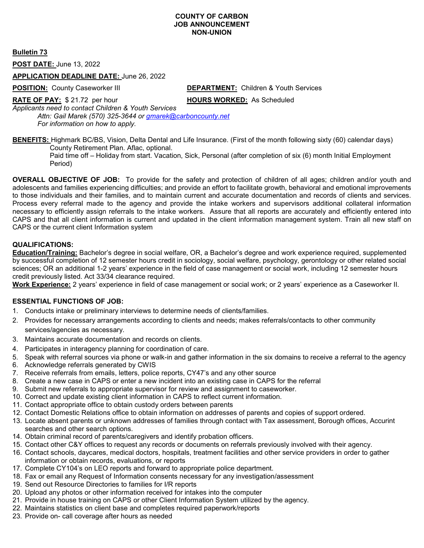### **COUNTY OF CARBON JOB ANNOUNCEMENT NON-UNION**

**Bulletin 73**

**POST DATE:** June 13, 2022

### **APPLICATION DEADLINE DATE:** June 26, 2022

**POSITION:** County Caseworker III **DEPARTMENT:** Children & Youth Services

**RATE OF PAY:** \$ 21.72 per hour **HOURS WORKED:** As Scheduled

*Applicants need to contact Children & Youth Services Attn: Gail Marek (570) 325-3644 or [gmarek@carboncounty.net](mailto:gmarek@carboncounty.net)*

*For information on how to apply.*

**BENEFITS:** Highmark BC/BS, Vision, Delta Dental and Life Insurance. (First of the month following sixty (60) calendar days) County Retirement Plan. Aflac, optional.

Paid time off – Holiday from start. Vacation, Sick, Personal (after completion of six (6) month Initial Employment Period)

**OVERALL OBJECTIVE OF JOB:** To provide for the safety and protection of children of all ages; children and/or youth and adolescents and families experiencing difficulties; and provide an effort to facilitate growth, behavioral and emotional improvements to those individuals and their families, and to maintain current and accurate documentation and records of clients and services. Process every referral made to the agency and provide the intake workers and supervisors additional collateral information necessary to efficiently assign referrals to the intake workers. Assure that all reports are accurately and efficiently entered into CAPS and that all client information is current and updated in the client information management system. Train all new staff on CAPS or the current client Information system

### **QUALIFICATIONS:**

**Education/Training:** Bachelor's degree in social welfare, OR, a Bachelor's degree and work experience required, supplemented by successful completion of 12 semester hours credit in sociology, social welfare, psychology, gerontology or other related social sciences; OR an additional 1-2 years' experience in the field of case management or social work, including 12 semester hours credit previously listed. Act 33/34 clearance required.

**Work Experience:** 2 years' experience in field of case management or social work; or 2 years' experience as a Caseworker II.

### **ESSENTIAL FUNCTIONS OF JOB:**

- 1. Conducts intake or preliminary interviews to determine needs of clients/families.
- 2. Provides for necessary arrangements according to clients and needs; makes referrals/contacts to other community services/agencies as necessary.
- 3. Maintains accurate documentation and records on clients.
- 4. Participates in interagency planning for coordination of care.
- 5. Speak with referral sources via phone or walk-in and gather information in the six domains to receive a referral to the agency
- 6. Acknowledge referrals generated by CWIS
- 7. Receive referrals from emails, letters, police reports, CY47's and any other source
- 8. Create a new case in CAPS or enter a new incident into an existing case in CAPS for the referral
- 9. Submit new referrals to appropriate supervisor for review and assignment to caseworker.
- 10. Correct and update existing client information in CAPS to reflect current information.
- 11. Contact appropriate office to obtain custody orders between parents
- 12. Contact Domestic Relations office to obtain information on addresses of parents and copies of support ordered.
- 13. Locate absent parents or unknown addresses of families through contact with Tax assessment, Borough offices, Accurint searches and other search options.
- 14. Obtain criminal record of parents/caregivers and identify probation officers.
- 15. Contact other C&Y offices to request any records or documents on referrals previously involved with their agency.
- 16. Contact schools, daycares, medical doctors, hospitals, treatment facilities and other service providers in order to gather information or obtain records, evaluations, or reports
- 17. Complete CY104's on LEO reports and forward to appropriate police department.
- 18. Fax or email any Request of Information consents necessary for any investigation/assessment
- 19. Send out Resource Directories to families for I/R reports
- 20. Upload any photos or other information received for intakes into the computer
- 21. Provide in house training on CAPS or other Client Information System utilized by the agency.
- 22. Maintains statistics on client base and completes required paperwork/reports
- 23. Provide on- call coverage after hours as needed